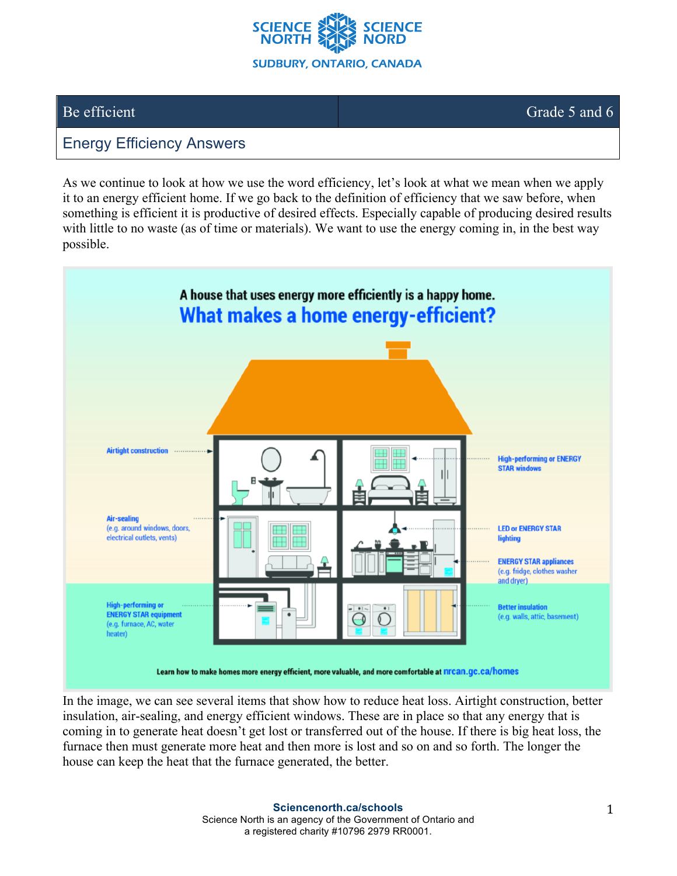

Be efficient Grade 5 and 6

## Energy Efficiency Answers

As we continue to look at how we use the word efficiency, let's look at what we mean when we apply it to an energy efficient home. If we go back to the definition of efficiency that we saw before, when something is efficient it is productive of desired effects. Especially capable of producing desired results with little to no waste (as of time or materials). We want to use the energy coming in, in the best way possible.



In the image, we can see several items that show how to reduce heat loss. Airtight construction, better insulation, air-sealing, and energy efficient windows. These are in place so that any energy that is coming in to generate heat doesn't get lost or transferred out of the house. If there is big heat loss, the furnace then must generate more heat and then more is lost and so on and so forth. The longer the house can keep the heat that the furnace generated, the better.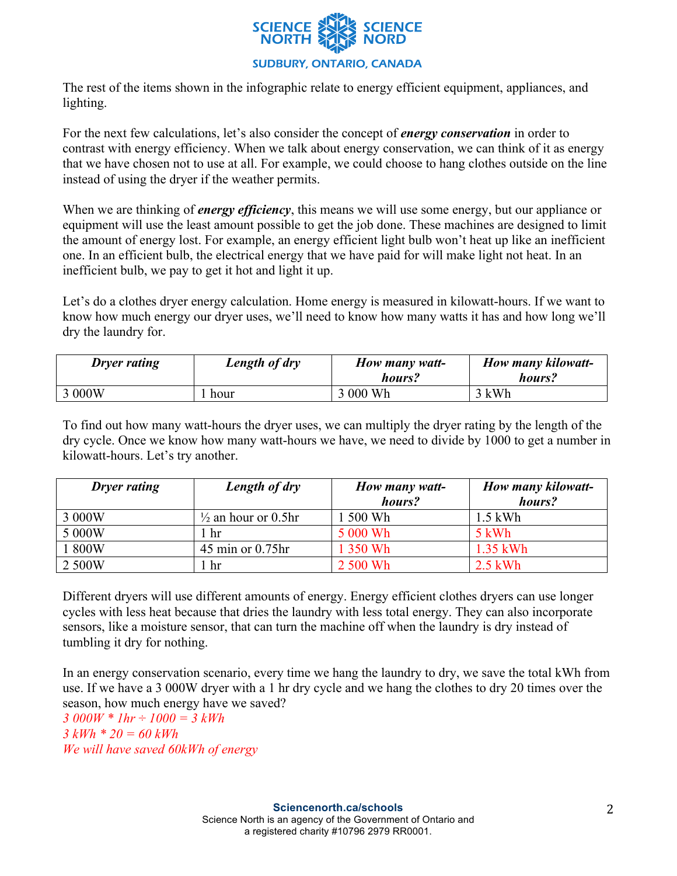

The rest of the items shown in the infographic relate to energy efficient equipment, appliances, and lighting.

For the next few calculations, let's also consider the concept of *energy conservation* in order to contrast with energy efficiency. When we talk about energy conservation, we can think of it as energy that we have chosen not to use at all. For example, we could choose to hang clothes outside on the line instead of using the dryer if the weather permits.

When we are thinking of *energy efficiency*, this means we will use some energy, but our appliance or equipment will use the least amount possible to get the job done. These machines are designed to limit the amount of energy lost. For example, an energy efficient light bulb won't heat up like an inefficient one. In an efficient bulb, the electrical energy that we have paid for will make light not heat. In an inefficient bulb, we pay to get it hot and light it up.

Let's do a clothes dryer energy calculation. Home energy is measured in kilowatt-hours. If we want to know how much energy our dryer uses, we'll need to know how many watts it has and how long we'll dry the laundry for.

| <b>Dryer rating</b> | Length of dry | How many watt-<br>hours? | How many kilowatt-<br>hours? |
|---------------------|---------------|--------------------------|------------------------------|
| 3 000W              | . hour        | 3 000 Wh                 | 3 kWh                        |

To find out how many watt-hours the dryer uses, we can multiply the dryer rating by the length of the dry cycle. Once we know how many watt-hours we have, we need to divide by 1000 to get a number in kilowatt-hours. Let's try another.

| <b>Dryer rating</b> | Length of dry                  | How many watt- | How many kilowatt- |
|---------------------|--------------------------------|----------------|--------------------|
|                     |                                | hours?         | hours?             |
| 3 000W              | $\frac{1}{2}$ an hour or 0.5hr | . 500 Wh       | $1.5$ kWh          |
| 5 000W              | l hr                           | 5 000 Wh       | 5 kWh              |
| 1800W               | $45$ min or $0.75$ hr          | 1 350 Wh       | $1.35$ kWh         |
| 2 500W              | hr.                            | 2 500 Wh       | $2.5$ kWh          |

Different dryers will use different amounts of energy. Energy efficient clothes dryers can use longer cycles with less heat because that dries the laundry with less total energy. They can also incorporate sensors, like a moisture sensor, that can turn the machine off when the laundry is dry instead of tumbling it dry for nothing.

In an energy conservation scenario, every time we hang the laundry to dry, we save the total kWh from use. If we have a 3 000W dryer with a 1 hr dry cycle and we hang the clothes to dry 20 times over the season, how much energy have we saved?

*3 000W \* 1hr ÷ 1000 = 3 kWh 3 kWh \* 20 = 60 kWh We will have saved 60kWh of energy*